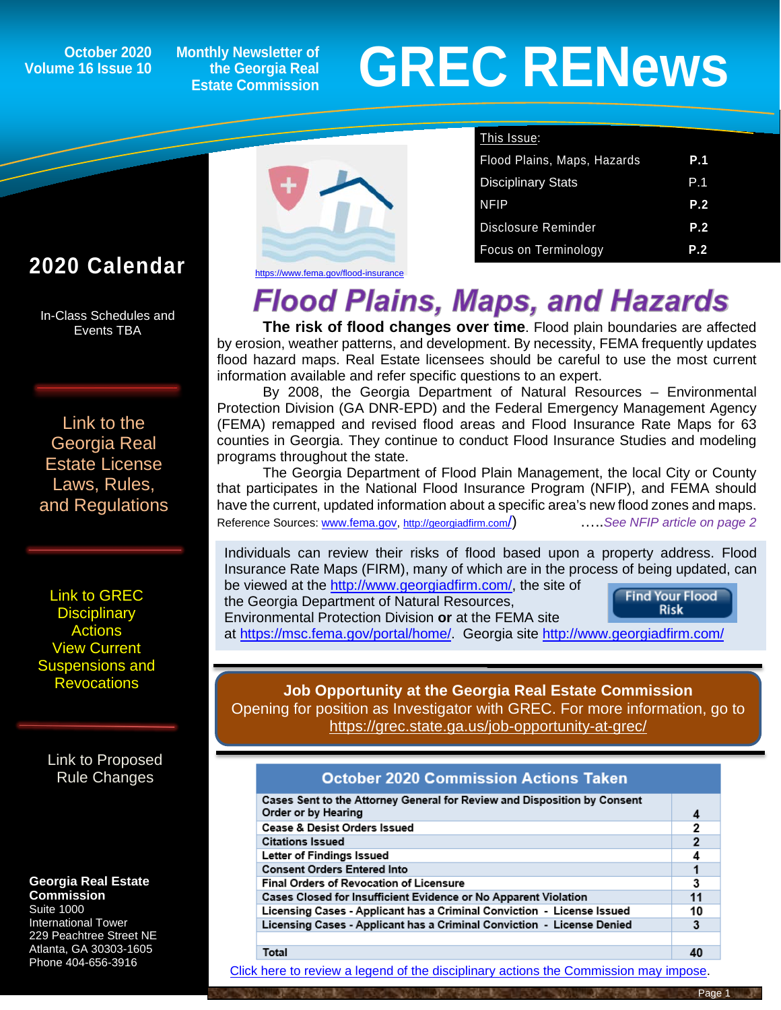**October 2020 Volume 16 Issue 10**

**Monthly Newsletter of the Georgia Real Estate Commission**

# **GREC RENewsGREC RENews**

# **2020 Calendar**

ĺ

In-Class Schedules and Events TBA

[Link to the](https://grec.state.ga.us/information-research/license-law/)  [Georgia Real](https://grec.state.ga.us/information-research/license-law/)  [Estate License](https://grec.state.ga.us/information-research/license-law/)  [Laws, Rules,](https://grec.state.ga.us/information-research/license-law/)  [and Regulations](https://grec.state.ga.us/information-research/license-law/)

[Link to GREC](http://www.grec.state.ga.us/about/resanctions.html)  **Disciplinary [Actions](http://www.grec.state.ga.us/about/resanctions.html)** View Current [Suspensions and](https://grec.state.ga.us/information-research/disciplinary-actions/real-estate/)  **Revocations** 

[Link to Proposed](https://grec.state.ga.us/information-research/disciplinary-actions/real-estate/)  [Rule Changes](https://grec.state.ga.us/information-research/legislation/real-estate/)

#### **Georgia Real Estate**

**Commission** Suite 1000 International Tower 229 Peachtree Street NE Atlanta, GA 30303-1605 Phone 404-656-3916



| This Issue:                 |     |
|-----------------------------|-----|
| Flood Plains, Maps, Hazards | P.1 |
| <b>Disciplinary Stats</b>   | P.1 |
| <b>NFIP</b>                 | P.2 |
| <b>Disclosure Reminder</b>  | P.2 |
| Focus on Terminology        | P.2 |

<https://www.fema.gov/flood-insurance>

# **Flood Plains, Maps, and Hazards**

**The risk of flood changes over time**. Flood plain boundaries are affected by erosion, weather patterns, and development. By necessity, FEMA frequently updates flood hazard maps. Real Estate licensees should be careful to use the most current information available and refer specific questions to an expert.

By 2008, the Georgia Department of Natural Resources – Environmental Protection Division (GA DNR-EPD) and the Federal Emergency Management Agency (FEMA) remapped and revised flood areas and Flood Insurance Rate Maps for 63 counties in Georgia. They continue to conduct Flood Insurance Studies and modeling programs throughout the state.

The Georgia Department of Flood Plain Management, the local City or County that participates in the National Flood Insurance Program (NFIP), and FEMA should have the current, updated information about a specific area's new flood zones and maps. Reference Sources: [www.fema.gov,](http://www.fema.gov/) [http://georgiadfirm.com/\)](http://georgiadfirm.com/) …..*See NFIP article on page 2*

Individuals can review their risks of flood based upon a property address. Flood Insurance Rate Maps (FIRM), many of which are in the process of being updated, can be viewed at the [http://www.georgiadfirm.com/,](http://www.georgiadfirm.com/) the site of

the Georgia Department of Natural Resources, Environmental Protection Division **or** at the FEMA site **Find Your Flood Risk** 

at [https://msc.fema.gov/portal/home/.](https://msc.fema.gov/portal/home) Georgia site<http://www.georgiadfirm.com/>

#### **Job Opportunity at the Georgia Real Estate Commission** Opening for position as Investigator with GREC. For more information, go to <https://grec.state.ga.us/job-opportunity-at-grec/>

### **October 2020 Commission Actions Taken**

| Cases Sent to the Attorney General for Review and Disposition by Consent<br>Order or by Hearing |                |
|-------------------------------------------------------------------------------------------------|----------------|
| <b>Cease &amp; Desist Orders Issued</b>                                                         | 2              |
| <b>Citations Issued</b>                                                                         | $\overline{2}$ |
| Letter of Findings Issued                                                                       |                |
| <b>Consent Orders Entered Into</b>                                                              |                |
| <b>Final Orders of Revocation of Licensure</b>                                                  | 3              |
| Cases Closed for Insufficient Evidence or No Apparent Violation                                 | 11             |
| Licensing Cases - Applicant has a Criminal Conviction - License Issued                          | 10             |
| Licensing Cases - Applicant has a Criminal Conviction - License Denied                          | 3              |
|                                                                                                 |                |
| Total                                                                                           |                |

[Click here to review a legend of the disciplinary actions the Commission may impose.](https://www.jmre.com/grec/GRECDisciplinaryTools.pdf)